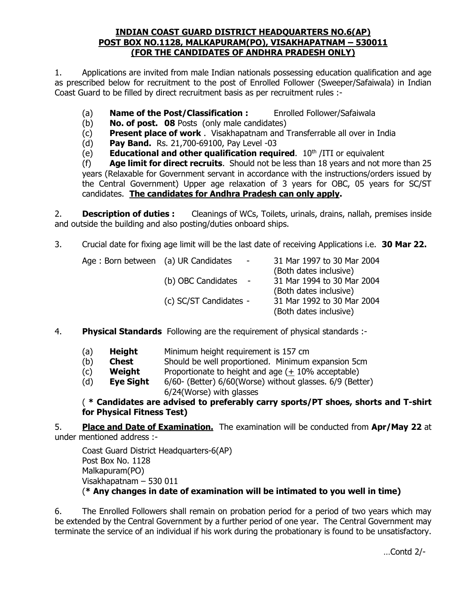## **INDIAN COAST GUARD DISTRICT HEADQUARTERS NO.6(AP) POST BOX NO.1128, MALKAPURAM(PO), VISAKHAPATNAM – 530011 (FOR THE CANDIDATES OF ANDHRA PRADESH ONLY)**

1. Applications are invited from male Indian nationals possessing education qualification and age as prescribed below for recruitment to the post of Enrolled Follower (Sweeper/Safaiwala) in Indian Coast Guard to be filled by direct recruitment basis as per recruitment rules :-

- (a) **Name of the Post/Classification :** Enrolled Follower/Safaiwala
- (b) **No. of post. 08** Posts (only male candidates)
- (c) **Present place of work** . Visakhapatnam and Transferrable all over in India
- (d) **Pay Band.** Rs. 21,700-69100, Pay Level -03
- (e) **Educational and other qualification required**. 10<sup>th</sup> /ITI or equivalent

(f) **Age limit for direct recruits**. Should not be less than 18 years and not more than 25 years (Relaxable for Government servant in accordance with the instructions/orders issued by the Central Government) Upper age relaxation of 3 years for OBC, 05 years for SC/ST candidates. **The candidates for Andhra Pradesh can only apply.**

2. **Description of duties :** Cleanings of WCs, Toilets, urinals, drains, nallah, premises inside and outside the building and also posting/duties onboard ships.

3. Crucial date for fixing age limit will be the last date of receiving Applications i.e. **30 Mar 22.**

| Age: Born between (a) UR Candidates | $\sim$ $ \sim$         | 31 Mar 1997 to 30 Mar 2004 |
|-------------------------------------|------------------------|----------------------------|
|                                     |                        | (Both dates inclusive)     |
|                                     | (b) OBC Candidates -   | 31 Mar 1994 to 30 Mar 2004 |
|                                     |                        | (Both dates inclusive)     |
|                                     | (c) SC/ST Candidates - | 31 Mar 1992 to 30 Mar 2004 |
|                                     |                        | (Both dates inclusive)     |

- 4. **Physical Standards** Following are the requirement of physical standards :-
	- (a) **Height** Minimum height requirement is 157 cm
	- (b) **Chest** Should be well proportioned. Minimum expansion 5cm
	- (c) **Weight** Proportionate to height and age ( $\pm$  10% acceptable)
	- (d) **Eye Sight** 6/60- (Better) 6/60(Worse) without glasses. 6/9 (Better) 6/24(Worse) with glasses

( **\* Candidates are advised to preferably carry sports/PT shoes, shorts and T-shirt for Physical Fitness Test)**

5. **Place and Date of Examination.** The examination will be conducted from **Apr/May 22** at under mentioned address :-

Coast Guard District Headquarters-6(AP) Post Box No. 1128 Malkapuram(PO) Visakhapatnam – 530 011 (**\* Any changes in date of examination will be intimated to you well in time)**

6. The Enrolled Followers shall remain on probation period for a period of two years which may be extended by the Central Government by a further period of one year. The Central Government may terminate the service of an individual if his work during the probationary is found to be unsatisfactory.

…Contd 2/-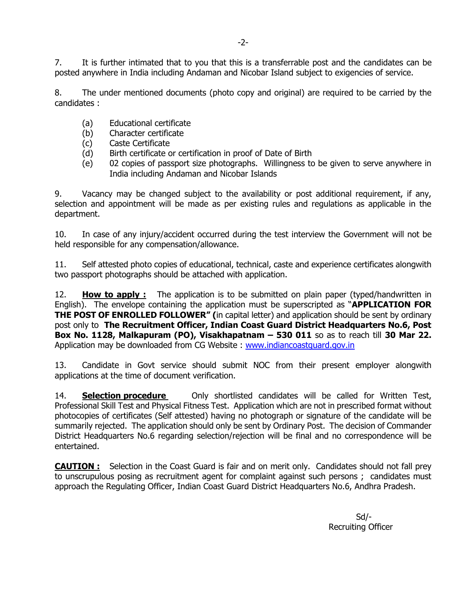7. It is further intimated that to you that this is a transferrable post and the candidates can be posted anywhere in India including Andaman and Nicobar Island subject to exigencies of service.

8. The under mentioned documents (photo copy and original) are required to be carried by the candidates :

- (a) Educational certificate
- (b) Character certificate
- (c) Caste Certificate
- (d) Birth certificate or certification in proof of Date of Birth
- (e) 02 copies of passport size photographs. Willingness to be given to serve anywhere in India including Andaman and Nicobar Islands

9. Vacancy may be changed subject to the availability or post additional requirement, if any, selection and appointment will be made as per existing rules and regulations as applicable in the department.

10. In case of any injury/accident occurred during the test interview the Government will not be held responsible for any compensation/allowance.

11. Self attested photo copies of educational, technical, caste and experience certificates alongwith two passport photographs should be attached with application.

12. **How to apply :** The application is to be submitted on plain paper (typed/handwritten in English). The envelope containing the application must be superscripted as "**APPLICATION FOR THE POST OF ENROLLED FOLLOWER" (**in capital letter) and application should be sent by ordinary post only to **The Recruitment Officer, Indian Coast Guard District Headquarters No.6, Post Box No. 1128, Malkapuram (PO), Visakhapatnam – 530 011** so as to reach till **30 Mar 22.** Application may be downloaded from CG Website : [www.indiancoastguard.gov.in](http://www.indiancoastguard.gov.in/)

13. Candidate in Govt service should submit NOC from their present employer alongwith applications at the time of document verification.

14. **Selection procedure** Only shortlisted candidates will be called for Written Test, Professional Skill Test and Physical Fitness Test. Application which are not in prescribed format without photocopies of certificates (Self attested) having no photograph or signature of the candidate will be summarily rejected. The application should only be sent by Ordinary Post. The decision of Commander District Headquarters No.6 regarding selection/rejection will be final and no correspondence will be entertained.

**CAUTION :** Selection in the Coast Guard is fair and on merit only. Candidates should not fall prey to unscrupulous posing as recruitment agent for complaint against such persons ; candidates must approach the Regulating Officer, Indian Coast Guard District Headquarters No.6, Andhra Pradesh.